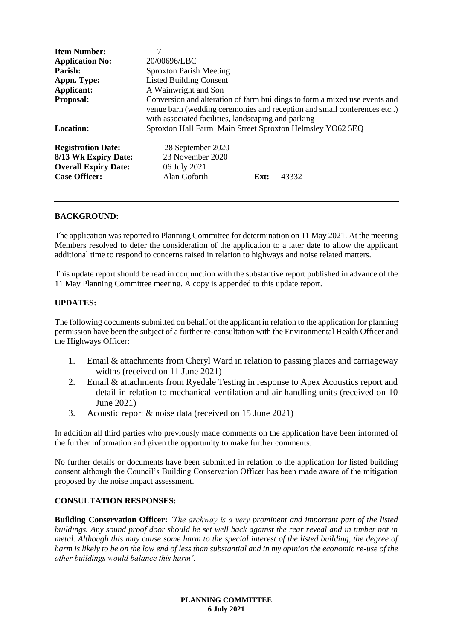| <b>Item Number:</b><br><b>Application No:</b><br>Parish:<br>Appn. Type:<br><b>Applicant:</b><br><b>Proposal:</b> | 7<br>20/00696/LBC<br><b>Sproxton Parish Meeting</b><br><b>Listed Building Consent</b><br>A Wainwright and Son<br>Conversion and alteration of farm buildings to form a mixed use events and<br>venue barn (wedding ceremonies and reception and small conferences etc) |
|------------------------------------------------------------------------------------------------------------------|------------------------------------------------------------------------------------------------------------------------------------------------------------------------------------------------------------------------------------------------------------------------|
| Location:                                                                                                        | with associated facilities, landscaping and parking<br>Sproxton Hall Farm Main Street Sproxton Helmsley YO62 5EQ                                                                                                                                                       |
| <b>Registration Date:</b><br>8/13 Wk Expiry Date:<br><b>Overall Expiry Date:</b><br><b>Case Officer:</b>         | 28 September 2020<br>23 November 2020<br>06 July 2021<br>Alan Goforth<br>43332<br>Ext:                                                                                                                                                                                 |

## **BACKGROUND:**

The application was reported to Planning Committee for determination on 11 May 2021. At the meeting Members resolved to defer the consideration of the application to a later date to allow the applicant additional time to respond to concerns raised in relation to highways and noise related matters.

This update report should be read in conjunction with the substantive report published in advance of the 11 May Planning Committee meeting. A copy is appended to this update report.

### **UPDATES:**

The following documents submitted on behalf of the applicant in relation to the application for planning permission have been the subject of a further re-consultation with the Environmental Health Officer and the Highways Officer:

- 1. Email & attachments from Cheryl Ward in relation to passing places and carriageway widths (received on 11 June 2021)
- 2. Email & attachments from Ryedale Testing in response to Apex Acoustics report and detail in relation to mechanical ventilation and air handling units (received on 10 June 2021)
- 3. Acoustic report & noise data (received on 15 June 2021)

In addition all third parties who previously made comments on the application have been informed of the further information and given the opportunity to make further comments.

No further details or documents have been submitted in relation to the application for listed building consent although the Council's Building Conservation Officer has been made aware of the mitigation proposed by the noise impact assessment.

#### **CONSULTATION RESPONSES:**

**Building Conservation Officer:** *'The archway is a very prominent and important part of the listed buildings. Any sound proof door should be set well back against the rear reveal and in timber not in metal. Although this may cause some harm to the special interest of the listed building, the degree of harm is likely to be on the low end of less than substantial and in my opinion the economic re-use of the other buildings would balance this harm'.*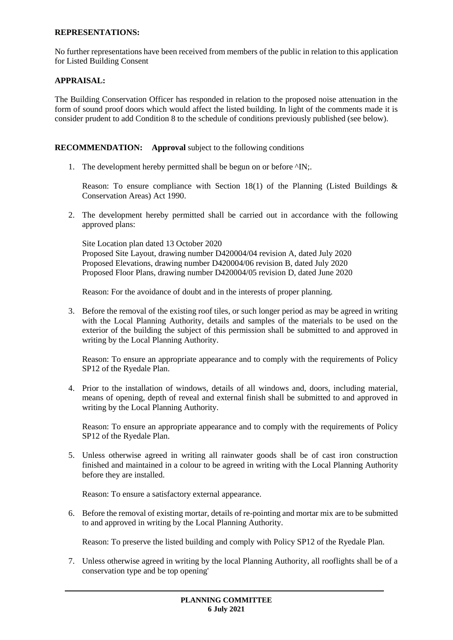### **REPRESENTATIONS:**

No further representations have been received from members of the public in relation to this application for Listed Building Consent

# **APPRAISAL:**

The Building Conservation Officer has responded in relation to the proposed noise attenuation in the form of sound proof doors which would affect the listed building. In light of the comments made it is consider prudent to add Condition 8 to the schedule of conditions previously published (see below).

## **RECOMMENDATION:** Approval subject to the following conditions

1. The development hereby permitted shall be begun on or before ^IN;.

Reason: To ensure compliance with Section 18(1) of the Planning (Listed Buildings  $\&$ Conservation Areas) Act 1990.

2. The development hereby permitted shall be carried out in accordance with the following approved plans:

Site Location plan dated 13 October 2020 Proposed Site Layout, drawing number D420004/04 revision A, dated July 2020 Proposed Elevations, drawing number D420004/06 revision B, dated July 2020 Proposed Floor Plans, drawing number D420004/05 revision D, dated June 2020

Reason: For the avoidance of doubt and in the interests of proper planning.

3. Before the removal of the existing roof tiles, or such longer period as may be agreed in writing with the Local Planning Authority, details and samples of the materials to be used on the exterior of the building the subject of this permission shall be submitted to and approved in writing by the Local Planning Authority.

Reason: To ensure an appropriate appearance and to comply with the requirements of Policy SP12 of the Ryedale Plan.

4. Prior to the installation of windows, details of all windows and, doors, including material, means of opening, depth of reveal and external finish shall be submitted to and approved in writing by the Local Planning Authority.

Reason: To ensure an appropriate appearance and to comply with the requirements of Policy SP12 of the Ryedale Plan.

5. Unless otherwise agreed in writing all rainwater goods shall be of cast iron construction finished and maintained in a colour to be agreed in writing with the Local Planning Authority before they are installed.

Reason: To ensure a satisfactory external appearance.

6. Before the removal of existing mortar, details of re-pointing and mortar mix are to be submitted to and approved in writing by the Local Planning Authority.

Reason: To preserve the listed building and comply with Policy SP12 of the Ryedale Plan.

7. Unless otherwise agreed in writing by the local Planning Authority, all rooflights shall be of a conservation type and be top opening'